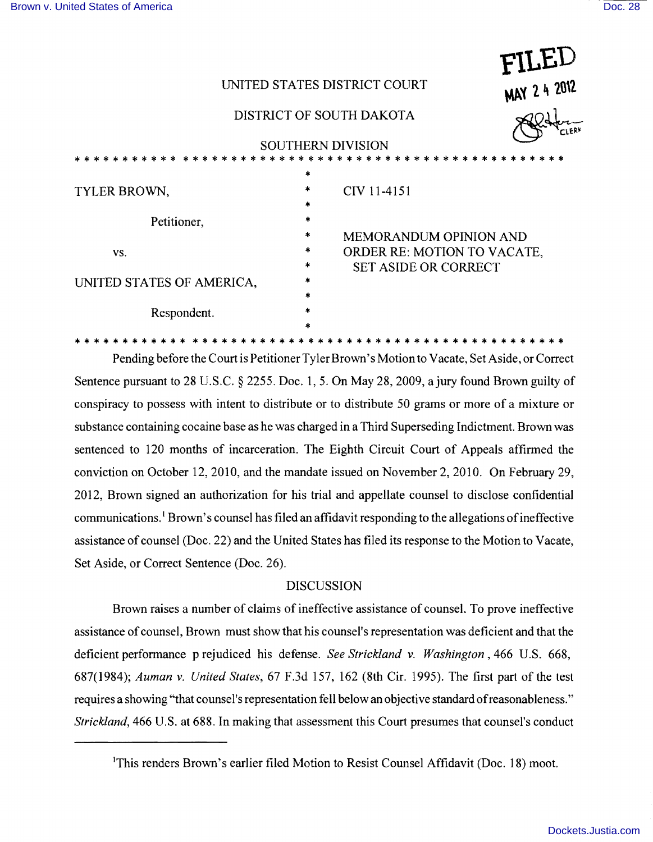|                              |         |                             | FILED        |
|------------------------------|---------|-----------------------------|--------------|
| UNITED STATES DISTRICT COURT |         |                             | MAY 2 4 2012 |
| DISTRICT OF SOUTH DAKOTA     |         |                             |              |
| <b>SOUTHERN DIVISION</b>     |         |                             |              |
|                              | *       |                             |              |
| TYLER BROWN,                 | *       | CIV 11-4151                 |              |
|                              | *       |                             |              |
| Petitioner,                  | $\star$ |                             |              |
|                              | *       | MEMORANDUM OPINION AND      |              |
| VS.                          | *       | ORDER RE: MOTION TO VACATE, |              |
|                              | *       | <b>SET ASIDE OR CORRECT</b> |              |
| UNITED STATES OF AMERICA,    | *       |                             |              |
|                              | $\ast$  |                             |              |
| Respondent.                  |         |                             |              |

\* \* \* \* \* \* \* \* \* \* \* \* \* \* \* \* \* \* \* \* \* \* \* \* \* \* \* \* \* \* \* \* \* \* \* \* \* \* \* \* \* \* \* \* \* \* \* \* \* \* \* Pending before the Court is Petitioner Tyler Brown's Motion to Vacate, Set Aside, or Correct Sentence pursuant to 28 U.S.C. § 2255. Doc. 1, 5. On May 28, 2009, a jury found Brown guilty of conspiracy to possess with intent to distribute or to distribute 50 grams or more of a mixture or substance containing cocaine base as he was charged in a Third Superseding Indictment. Brown was sentenced to 120 months of incarceration. The Eighth Circuit Court of Appeals affirmed the conviction on October 12,2010, and the mandate issued on November 2,2010. On February 29, 2012, Brown signed an authorization for his trial and appellate counsel to disclose confidential communications.' Brown's counsel has filed an affidavit responding to the allegations ofineffective assistance of counsel (Doc. 22) and the United States has filed its response to the Motion to Vacate, Set Aside, or Correct Sentence (Doc. 26).

\*

## DISCUSSION

Brown raises a number of claims of ineffective assistance of counsel. To prove ineffective assistance of counsel, Brown must show that his counsel's representation was deficient and that the deficient performance prejudiced his defense. *See Strickland* v. *Washington,* 466 U.S. 668, *687(1984); Auman* v. *United States,* 67 F.3d 157, 162 (8th Cir. 1995). The first part of the test requires a showing "that counsel's representation fell below an objective standard ofreasonableness." *Strickland,* 466 U.S. at 688. In making that assessment this Court presumes that counsel's conduct

lThis renders Brown's earlier filed Motion to Resist Counsel Affidavit (Doc. 18) moot.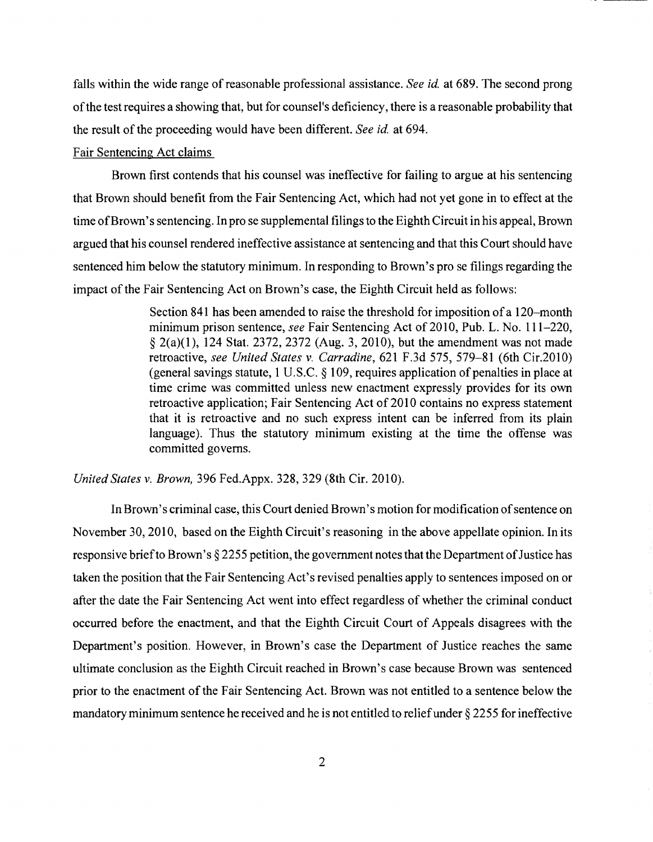falls within the wide range of reasonable professional assistance. *See id.* at 689. The second prong ofthe test requires a showing that, but for counsel's deficiency, there is a reasonable probability that the result of the proceeding would have been different. *See id.* at 694.

## Fair Sentencing Act claims

Brown first contends that his counsel was ineffective for failing to argue at his sentencing that Brown should benefit from the Fair Sentencing Act, which had not yet gone in to effect at the time of Brown's sentencing. In pro se supplemental filings to the Eighth Circuit in his appeal, Brown argued that his counsel rendered ineffective assistance at sentencing and that this Court should have sentenced him below the statutory minimum. In responding to Brown's pro se filings regarding the impact of the Fair Sentencing Act on Brown's case, the Eighth Circuit held as follows:

> Section 841 has been amended to raise the threshold for imposition ofa 120-month minimum prison sentence, *see* Fair Sentencing Act of 2010, Pub. L. No. 111-220, § 2(a)(l), 124 Stat. 2372,2372 (Aug. 3,2010), but the amendment was not made retroactive, *see United States v. Carradine,* 621 F.3d 575, 579-81 (6th Cir.201O) (general savings statute,  $1 \text{ U.S.C.} \S 109$ , requires application of penalties in place at time crime was committed unless new enactment expressly provides for its own retroactive application; Fair Sentencing Act of 2010 contains no express statement that it is retroactive and no such express intent can be inferred from its plain language). Thus the statutory minimum existing at the time the offense was committed governs.

*United States v. Brown,* 396 Fed.Appx. 328, 329 (8th Cir. 2010).

In Brown's criminal case, this Court denied Brown's motion for modification of sentence on November 30, 2010, based on the Eighth Circuit's reasoning in the above appellate opinion. In its responsive brief to Brown's  $\S 2255$  petition, the government notes that the Department of Justice has taken the position that the Fair Sentencing Act's revised penalties apply to sentences imposed on or after the date the Fair Sentencing Act went into effect regardless of whether the criminal conduct occurred before the enactment, and that the Eighth Circuit Court of Appeals disagrees with the Department's position. However, in Brown's case the Department of Justice reaches the same ultimate conclusion as the Eighth Circuit reached in Brown's case because Brown was sentenced prior to the enactment of the Fair Sentencing Act. Brown was not entitled to a sentence below the mandatory minimum sentence he received and he is not entitled to relief under § 2255 for ineffective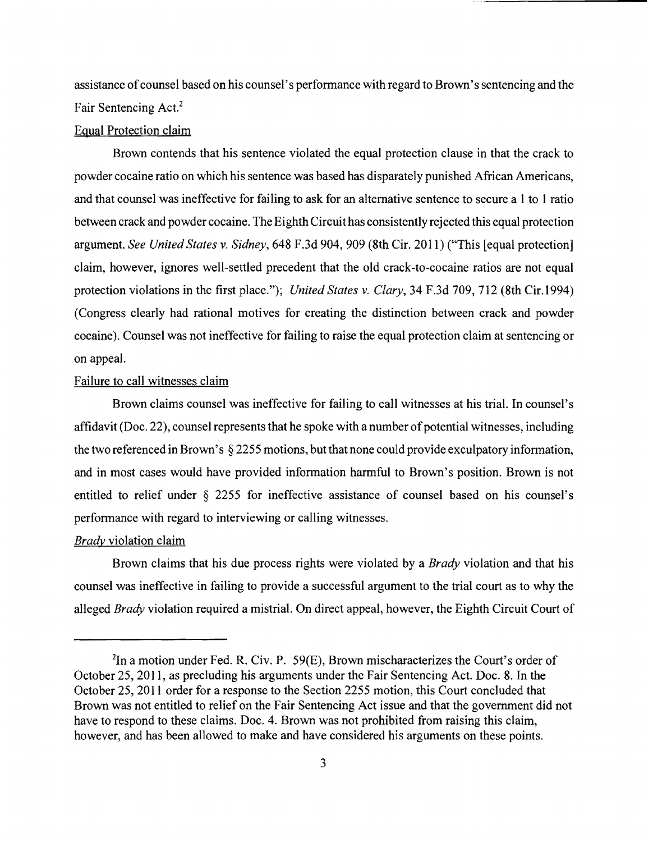assistance ofcounsel based on his counsel's performance with regard to Brown's sentencing and the Fair Sentencing Act.<sup>2</sup>

## Equal Protection claim

Brown contends that his sentence violated the equal protection clause in that the crack to powder cocaine ratio on which his sentence was based has disparately punished African Americans, and that counsel was ineffective for failing to ask for an alternative sentence to secure a 1 to I ratio between crack and powder cocaine. The Eighth Circuit has consistently rejected this equal protection argument. *See United States* v. *Sidney,* 648 F.3d 904, 909 (8th Cir. 2011) ("This [equal protection] claim, however, ignores well-settled precedent that the old crack-to-cocaine ratios are not equal protection violations in the first place."); *United States* v. *Clary,* 34 F.3d 709, 712 (8th Cir.l994) (Congress clearly had rational motives for creating the distinction between crack and powder cocaine). Counsel was not ineffective for failing to raise the equal protection claim at sentencing or on appeal.

# Failure to call witnesses claim

Brown claims counsel was ineffective for failing to call witnesses at his trial. In counsel's affidavit (Doc. 22), counsel represents that he spoke with a number of potential witnesses, including the two referenced in Brown's § 2255 motions, but that none could provide exculpatory information, and in most cases would have provided information harmful to Brown's position. Brown is not entitled to relief under § 2255 for ineffective assistance of counsel based on his counsel's performance with regard to interviewing or calling witnesses.

## *Bradv* violation claim

Brown claims that his due process rights were violated by a *Brady* violation and that his counsel was ineffective in failing to provide a successful argument to the trial court as to why the alleged *Brady* violation required a mistrial. On direct appeal, however, the Eighth Circuit Court of

 ${}^{2}$ In a motion under Fed. R. Civ. P. 59 $(E)$ , Brown mischaracterizes the Court's order of October 25, 2011, as precluding his arguments under the Fair Sentencing Act. Doc. 8. In the October 25,2011 order for a response to the Section 2255 motion, this Court concluded that Brown was not entitled to relief on the Fair Sentencing Act issue and that the government did not have to respond to these claims. Doc. 4. Brown was not prohibited from raising this claim, however, and has been allowed to make and have considered his arguments on these points.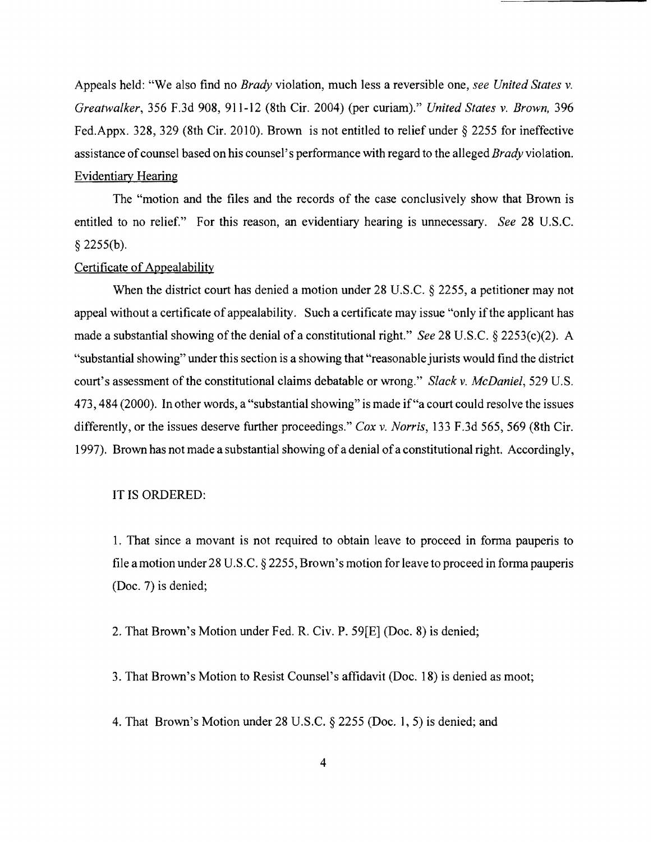Appeals held: "We also find no *Brady* violation, much less a reversible one, *see United States* v. *Greatwalker,* 356 F.3d 908, 911-12 (8th Cir. 2004) (per curiam)." *United States v. Brown, 396*  Fed.Appx. 328, 329 (8th Cir. 2010). Brown is not entitled to relief under § 2255 for ineffective assistance of counsel based on his counsel's performance with regard to the alleged *Brady* violation. Evidentiary Hearing

The "motion and the files and the records of the case conclusively show that Brown is entitled to no relief." For this reason, an evidentiary hearing is unnecessary. *See* 28 U.S.C.  $§$  2255(b).

#### Certificate of Appealability

When the district court has denied a motion under 28 U.S.C. § 2255, a petitioner may not appeal without a certificate of appealability. Such a certificate may issue "only if the applicant has made a substantial showing of the denial of a constitutional right." *See* 28 U.S.C. § 2253(c)(2). A "substantial showing" under this section is a showing that "reasonable jurists would find the district court's assessment of the constitutional claims debatable or wrong." *Slack v. McDaniel,* 529 U.S. 473,484 (2000). In other words, a "substantial showing" is made if"a court could resolve the issues differently, or the issues deserve further proceedings." *Cox v. Norris,* 133 F.3d 565, 569 (8th Cir. 1997). Brown has not made a substantial showing of a denial of a constitutional right. Accordingly,

#### IT IS ORDERED:

1. That since a movant is not required to obtain leave to proceed in forma pauperis to file amotion under 28 U.S.C. § 2255, Brown's motion for leave to proceed in forma pauperis (Doc. 7) is denied;

2. That Brown's Motion under Fed. R. Civ. P. 59[E] (Doc. 8) is denied;

3. That Brown's Motion to Resist Counsel's affidavit (Doc. 18) is denied as moot;

4. That Brown's Motion under 28 U.S.C. § 2255 (Doc. 1,5) is denied; and